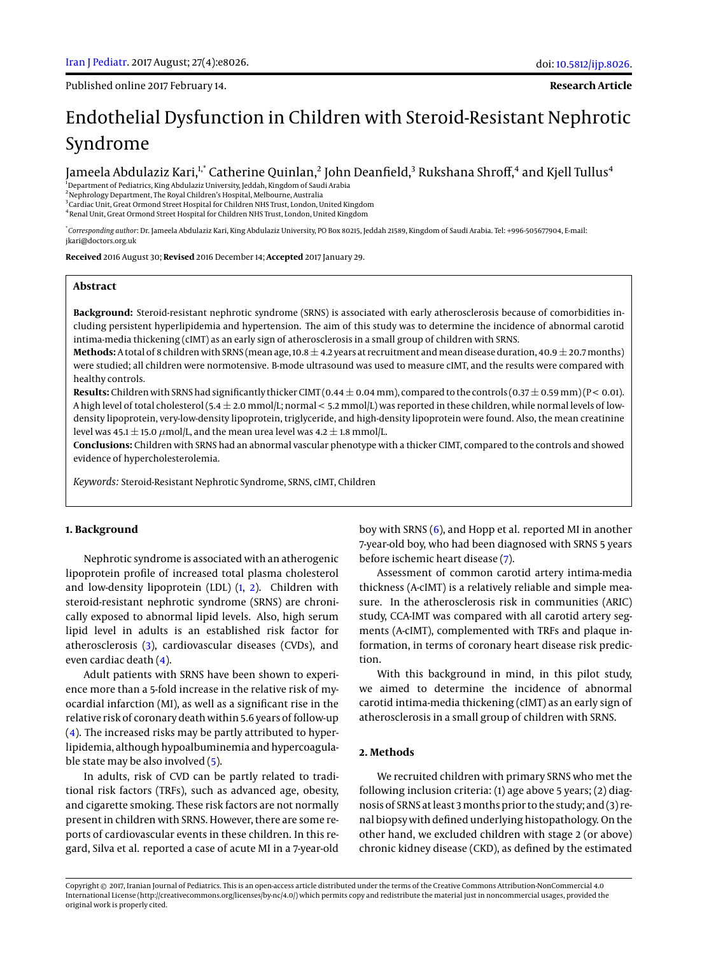Published online 2017 February 14.

**Research Article**

# Endothelial Dysfunction in Children with Steroid-Resistant Nephrotic Syndrome

Jameela Abdulaziz Kari, $^{\text{!*}}$  Catherine Quinlan, $^2$  John Deanfield, $^3$  Rukshana Shroff, $^4$  and Kjell Tullus $^4$ 

<sup>1</sup>Department of Pediatrics, King Abdulaziz University, Jeddah, Kingdom of Saudi Arabia

<sup>2</sup>Nephrology Department, The Royal Children's Hospital, Melbourne, Australia

<sup>3</sup>Cardiac Unit, Great Ormond Street Hospital for Children NHS Trust, London, United Kingdom 4 Renal Unit, Great Ormond Street Hospital for Children NHS Trust, London, United Kingdom

\* *Corresponding author*: Dr. Jameela Abdulaziz Kari, King Abdulaziz University, PO Box 80215, Jeddah 21589, Kingdom of Saudi Arabia. Tel: +996-505677904, E-mail: jkari@doctors.org.uk

**Received** 2016 August 30; **Revised** 2016 December 14; **Accepted** 2017 January 29.

#### **Abstract**

**Background:** Steroid-resistant nephrotic syndrome (SRNS) is associated with early atherosclerosis because of comorbidities including persistent hyperlipidemia and hypertension. The aim of this study was to determine the incidence of abnormal carotid intima-media thickening (cIMT) as an early sign of atherosclerosis in a small group of children with SRNS.

**Methods:** A total of 8 children with SRNS (mean age, 10.8  $\pm$  4.2 years at recruitment and mean disease duration, 40.9  $\pm$  20.7 months) were studied; all children were normotensive. B-mode ultrasound was used to measure cIMT, and the results were compared with healthy controls.

**Results:** Children with SRNS had significantly thicker CIMT (0.44  $\pm$  0.04 mm), compared to the controls (0.37  $\pm$  0.59 mm) (P < 0.01). A high level of total cholesterol (5.4  $\pm$  2.0 mmol/L; normal < 5.2 mmol/L) was reported in these children, while normal levels of lowdensity lipoprotein, very-low-density lipoprotein, triglyceride, and high-density lipoprotein were found. Also, the mean creatinine level was 45.1  $\pm$  15.0  $\mu$ mol/L, and the mean urea level was 4.2  $\pm$  1.8 mmol/L.

**Conclusions:** Children with SRNS had an abnormal vascular phenotype with a thicker CIMT, compared to the controls and showed evidence of hypercholesterolemia.

*Keywords:* Steroid-Resistant Nephrotic Syndrome, SRNS, cIMT, Children

## **1. Background**

Nephrotic syndrome is associated with an atherogenic lipoprotein profile of increased total plasma cholesterol and low-density lipoprotein (LDL) [\(1,](#page-2-0) [2\)](#page-2-1). Children with steroid-resistant nephrotic syndrome (SRNS) are chronically exposed to abnormal lipid levels. Also, high serum lipid level in adults is an established risk factor for atherosclerosis [\(3\)](#page-2-2), cardiovascular diseases (CVDs), and even cardiac death [\(4\)](#page-2-3).

Adult patients with SRNS have been shown to experience more than a 5-fold increase in the relative risk of myocardial infarction (MI), as well as a significant rise in the relative risk of coronary death within 5.6 years of follow-up [\(4\)](#page-2-3). The increased risks may be partly attributed to hyperlipidemia, although hypoalbuminemia and hypercoagulable state may be also involved [\(5\)](#page-2-4).

In adults, risk of CVD can be partly related to traditional risk factors (TRFs), such as advanced age, obesity, and cigarette smoking. These risk factors are not normally present in children with SRNS. However, there are some reports of cardiovascular events in these children. In this regard, Silva et al. reported a case of acute MI in a 7-year-old

boy with SRNS [\(6\)](#page-2-5), and Hopp et al. reported MI in another 7-year-old boy, who had been diagnosed with SRNS 5 years before ischemic heart disease [\(7\)](#page-2-6).

Assessment of common carotid artery intima-media thickness (A-cIMT) is a relatively reliable and simple measure. In the atherosclerosis risk in communities (ARIC) study, CCA-IMT was compared with all carotid artery segments (A-cIMT), complemented with TRFs and plaque information, in terms of coronary heart disease risk prediction.

With this background in mind, in this pilot study, we aimed to determine the incidence of abnormal carotid intima-media thickening (cIMT) as an early sign of atherosclerosis in a small group of children with SRNS.

### **2. Methods**

We recruited children with primary SRNS who met the following inclusion criteria: (1) age above 5 years; (2) diagnosis of SRNS at least 3 months prior to the study; and (3) renal biopsy with defined underlying histopathology. On the other hand, we excluded children with stage 2 (or above) chronic kidney disease (CKD), as defined by the estimated

Copyright © 2017, Iranian Journal of Pediatrics. This is an open-access article distributed under the terms of the Creative Commons Attribution-NonCommercial 4.0 International License (http://creativecommons.org/licenses/by-nc/4.0/) which permits copy and redistribute the material just in noncommercial usages, provided the original work is properly cited.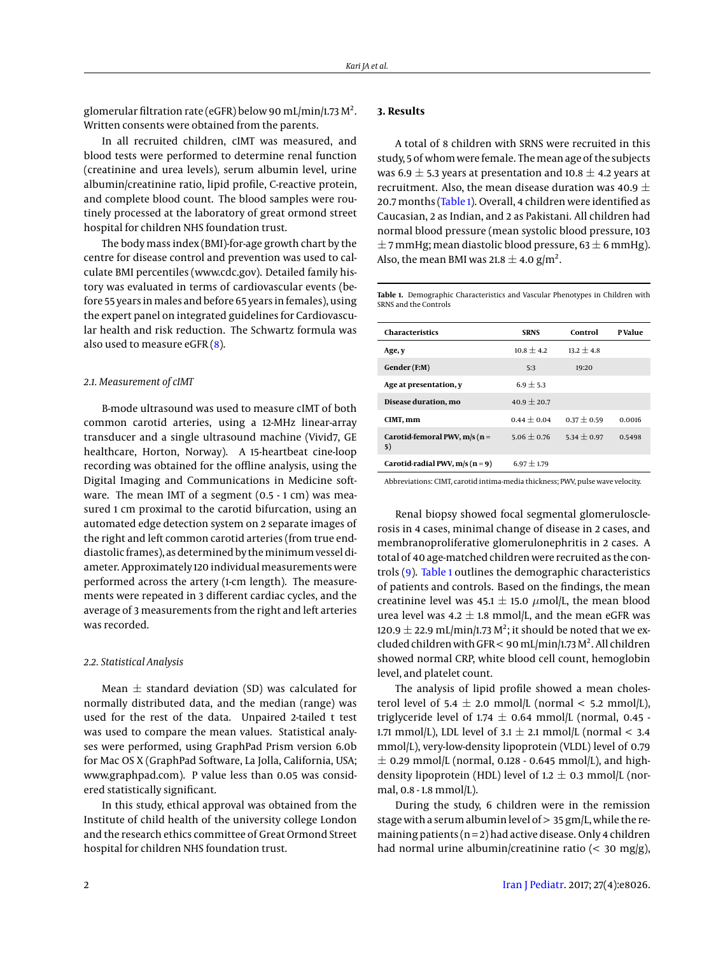glomerular filtration rate (eGFR) below 90 mL/min/1.73 M<sup>2</sup>. Written consents were obtained from the parents.

In all recruited children, cIMT was measured, and blood tests were performed to determine renal function (creatinine and urea levels), serum albumin level, urine albumin/creatinine ratio, lipid profile, C-reactive protein, and complete blood count. The blood samples were routinely processed at the laboratory of great ormond street hospital for children NHS foundation trust.

The body mass index (BMI)-for-age growth chart by the centre for disease control and prevention was used to calculate BMI percentiles (www.cdc.gov). Detailed family history was evaluated in terms of cardiovascular events (before 55 years in males and before 65 years in females), using the expert panel on integrated guidelines for Cardiovascular health and risk reduction. The Schwartz formula was also used to measure eGFR [\(8\)](#page-2-7).

### *2.1. Measurement of cIMT*

B-mode ultrasound was used to measure cIMT of both common carotid arteries, using a 12-MHz linear-array transducer and a single ultrasound machine (Vivid7, GE healthcare, Horton, Norway). A 15-heartbeat cine-loop recording was obtained for the offline analysis, using the Digital Imaging and Communications in Medicine software. The mean IMT of a segment (0.5 - 1 cm) was measured 1 cm proximal to the carotid bifurcation, using an automated edge detection system on 2 separate images of the right and left common carotid arteries (from true enddiastolic frames), as determined by the minimum vessel diameter. Approximately 120 individual measurements were performed across the artery (1-cm length). The measurements were repeated in 3 different cardiac cycles, and the average of 3 measurements from the right and left arteries was recorded.

#### *2.2. Statistical Analysis*

Mean  $\pm$  standard deviation (SD) was calculated for normally distributed data, and the median (range) was used for the rest of the data. Unpaired 2-tailed t test was used to compare the mean values. Statistical analyses were performed, using GraphPad Prism version 6.0b for Mac OS X (GraphPad Software, La Jolla, California, USA; www.graphpad.com). P value less than 0.05 was considered statistically significant.

In this study, ethical approval was obtained from the Institute of child health of the university college London and the research ethics committee of Great Ormond Street hospital for children NHS foundation trust.

## **3. Results**

A total of 8 children with SRNS were recruited in this study, 5 of whom were female. The mean age of the subjects was 6.9  $\pm$  5.3 years at presentation and 10.8  $\pm$  4.2 years at recruitment. Also, the mean disease duration was 40.9  $\pm$ 20.7 months [\(Table 1\)](#page-1-0). Overall, 4 children were identified as Caucasian, 2 as Indian, and 2 as Pakistani. All children had normal blood pressure (mean systolic blood pressure, 103  $\pm$  7 mmHg; mean diastolic blood pressure, 63  $\pm$  6 mmHg). Also, the mean BMI was 21.8  $\pm$  4.0 g/m<sup>2</sup>.

<span id="page-1-0"></span>**Table 1.** Demographic Characteristics and Vascular Phenotypes in Children with SRNS and the Controls

| <b>Characteristics</b>                   | <b>SRNS</b>   | Control       | <b>P</b> Value |
|------------------------------------------|---------------|---------------|----------------|
| Age, y                                   | $10.8 + 4.2$  | $13.2 + 4.8$  |                |
| Gender (F:M)                             | 5:3           | 19:20         |                |
| Age at presentation, y                   | $6.9 + 5.3$   |               |                |
| Disease duration, mo                     | $40.9 + 20.7$ |               |                |
| CIMT, mm                                 | $0.44 + 0.04$ | $0.37 + 0.59$ | 0.0016         |
| Carotid-femoral PWV, $m/s$ ( $n =$<br>5) | $5.06 + 0.76$ | $5.34 + 0.97$ | 0.5498         |
| Carotid-radial PWV, $m/s (n = 9)$        | $6.97 + 1.79$ |               |                |

Abbreviations: CIMT, carotid intima-media thickness; PWV, pulse wave velocity.

Renal biopsy showed focal segmental glomerulosclerosis in 4 cases, minimal change of disease in 2 cases, and membranoproliferative glomerulonephritis in 2 cases. A total of 40 age-matched children were recruited as the controls [\(9\)](#page-2-8). [Table 1](#page-1-0) outlines the demographic characteristics of patients and controls. Based on the findings, the mean creatinine level was 45.1  $\pm$  15.0  $\mu$ mol/L, the mean blood urea level was 4.2  $\pm$  1.8 mmol/L, and the mean eGFR was 120.9  $\pm$  22.9 mL/min/1.73 M<sup>2</sup>; it should be noted that we excluded children with GFR < 90 mL/min/1.73  $M^2$ . All children showed normal CRP, white blood cell count, hemoglobin level, and platelet count.

The analysis of lipid profile showed a mean cholesterol level of 5.4  $\pm$  2.0 mmol/L (normal < 5.2 mmol/L), triglyceride level of 1.74  $\pm$  0.64 mmol/L (normal, 0.45 -1.71 mmol/L), LDL level of  $3.1 \pm 2.1$  mmol/L (normal < 3.4 mmol/L), very-low-density lipoprotein (VLDL) level of 0.79  $\pm$  0.29 mmol/L (normal, 0.128 - 0.645 mmol/L), and highdensity lipoprotein (HDL) level of 1.2  $\pm$  0.3 mmol/L (normal, 0.8 - 1.8 mmol/L).

During the study, 6 children were in the remission stage with a serum albumin level of > 35 gm/L, while the remaining patients  $(n=2)$  had active disease. Only 4 children had normal urine albumin/creatinine ratio (< 30 mg/g),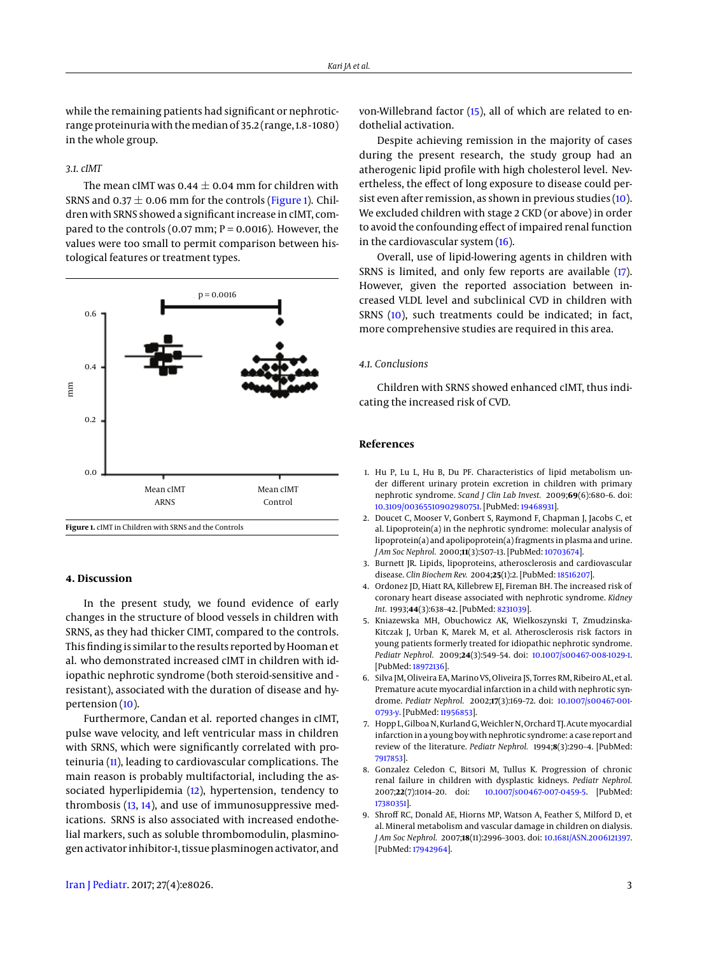while the remaining patients had significant or nephroticrange proteinuria with the median of 35.2 (range, 1.8 - 1080) in the whole group.

#### *3.1. cIMT*

The mean cIMT was  $0.44 \pm 0.04$  mm for children with SRNS and  $0.37 \pm 0.06$  mm for the controls [\(Figure 1\)](#page-2-9). Children with SRNS showed a significant increase in cIMT, compared to the controls  $(0.07 \text{ mm}; P = 0.0016)$ . However, the values were too small to permit comparison between histological features or treatment types.

<span id="page-2-9"></span>

## **4. Discussion**

In the present study, we found evidence of early changes in the structure of blood vessels in children with SRNS, as they had thicker CIMT, compared to the controls. This finding is similar to the results reported by Hooman et al. who demonstrated increased cIMT in children with idiopathic nephrotic syndrome (both steroid-sensitive and resistant), associated with the duration of disease and hypertension [\(10\)](#page-3-0).

Furthermore, Candan et al. reported changes in cIMT, pulse wave velocity, and left ventricular mass in children with SRNS, which were significantly correlated with proteinuria [\(11\)](#page-3-1), leading to cardiovascular complications. The main reason is probably multifactorial, including the associated hyperlipidemia [\(12\)](#page-3-2), hypertension, tendency to thrombosis [\(13,](#page-3-3) [14\)](#page-3-4), and use of immunosuppressive medications. SRNS is also associated with increased endothelial markers, such as soluble thrombomodulin, plasminogen activator inhibitor-1, tissue plasminogen activator, and

Despite achieving remission in the majority of cases during the present research, the study group had an atherogenic lipid profile with high cholesterol level. Nevertheless, the effect of long exposure to disease could persist even after remission, as shown in previous studies [\(10\)](#page-3-0). We excluded children with stage 2 CKD (or above) in order to avoid the confounding effect of impaired renal function in the cardiovascular system [\(16\)](#page-3-6).

Overall, use of lipid-lowering agents in children with SRNS is limited, and only few reports are available [\(17\)](#page-3-7). However, given the reported association between increased VLDL level and subclinical CVD in children with SRNS [\(10\)](#page-3-0), such treatments could be indicated; in fact, more comprehensive studies are required in this area.

#### *4.1. Conclusions*

Children with SRNS showed enhanced cIMT, thus indicating the increased risk of CVD.

#### **References**

- <span id="page-2-0"></span>1. Hu P, Lu L, Hu B, Du PF. Characteristics of lipid metabolism under different urinary protein excretion in children with primary nephrotic syndrome. *Scand J Clin Lab Invest.* 2009;**69**(6):680–6. doi: [10.3109/00365510902980751.](http://dx.doi.org/10.3109/00365510902980751) [PubMed: [19468931\]](http://www.ncbi.nlm.nih.gov/pubmed/19468931).
- <span id="page-2-1"></span>2. Doucet C, Mooser V, Gonbert S, Raymond F, Chapman J, Jacobs C, et al. Lipoprotein(a) in the nephrotic syndrome: molecular analysis of lipoprotein(a) and apolipoprotein(a) fragments in plasma and urine. *J Am Soc Nephrol.* 2000;**11**(3):507–13. [PubMed: [10703674\]](http://www.ncbi.nlm.nih.gov/pubmed/10703674).
- <span id="page-2-2"></span>3. Burnett JR. Lipids, lipoproteins, atherosclerosis and cardiovascular disease. *Clin Biochem Rev.* 2004;**25**(1):2. [PubMed: [18516207\]](http://www.ncbi.nlm.nih.gov/pubmed/18516207).
- <span id="page-2-3"></span>4. Ordonez JD, Hiatt RA, Killebrew EJ, Fireman BH. The increased risk of coronary heart disease associated with nephrotic syndrome. *Kidney Int.* 1993;**44**(3):638–42. [PubMed: [8231039\]](http://www.ncbi.nlm.nih.gov/pubmed/8231039).
- <span id="page-2-4"></span>5. Kniazewska MH, Obuchowicz AK, Wielkoszynski T, Zmudzinska-Kitczak J, Urban K, Marek M, et al. Atherosclerosis risk factors in young patients formerly treated for idiopathic nephrotic syndrome. *Pediatr Nephrol.* 2009;**24**(3):549–54. doi: [10.1007/s00467-008-1029-1.](http://dx.doi.org/10.1007/s00467-008-1029-1) [PubMed: [18972136\]](http://www.ncbi.nlm.nih.gov/pubmed/18972136).
- <span id="page-2-5"></span>6. Silva JM, Oliveira EA, Marino VS, Oliveira JS, Torres RM, Ribeiro AL, et al. Premature acute myocardial infarction in a child with nephrotic syndrome. *Pediatr Nephrol.* 2002;**17**(3):169–72. doi: [10.1007/s00467-001-](http://dx.doi.org/10.1007/s00467-001-0793-y) [0793-y.](http://dx.doi.org/10.1007/s00467-001-0793-y) [PubMed: [11956853\]](http://www.ncbi.nlm.nih.gov/pubmed/11956853).
- <span id="page-2-6"></span>7. Hopp L, Gilboa N, Kurland G, Weichler N, Orchard TJ. Acute myocardial infarction in a young boy with nephrotic syndrome: a case report and review of the literature. *Pediatr Nephrol.* 1994;**8**(3):290–4. [PubMed: [7917853\]](http://www.ncbi.nlm.nih.gov/pubmed/7917853).
- <span id="page-2-7"></span>8. Gonzalez Celedon C, Bitsori M, Tullus K. Progression of chronic renal failure in children with dysplastic kidneys. *Pediatr Nephrol.* 2007;**22**(7):1014–20. doi: [10.1007/s00467-007-0459-5.](http://dx.doi.org/10.1007/s00467-007-0459-5) [PubMed: [17380351\]](http://www.ncbi.nlm.nih.gov/pubmed/17380351).
- <span id="page-2-8"></span>9. Shroff RC, Donald AE, Hiorns MP, Watson A, Feather S, Milford D, et al. Mineral metabolism and vascular damage in children on dialysis. *J Am Soc Nephrol.* 2007;**18**(11):2996–3003. doi: [10.1681/ASN.2006121397.](http://dx.doi.org/10.1681/ASN.2006121397) [PubMed: [17942964\]](http://www.ncbi.nlm.nih.gov/pubmed/17942964).